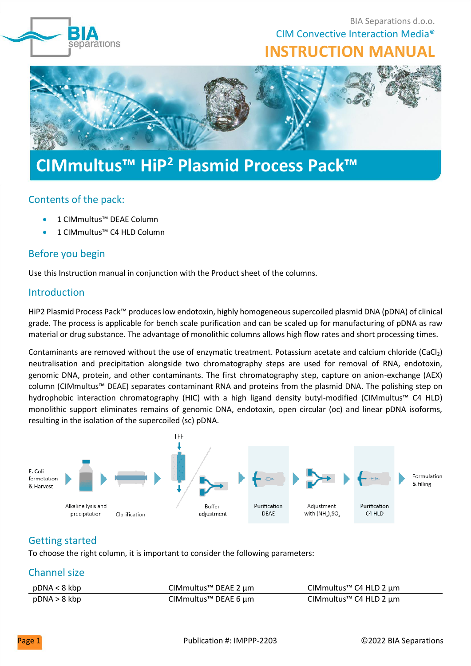

BIA Separations d.o.o. CIM Convective Interaction Media® **INSTRUCTION MANUAL**



# **CIMmultus™ HiP<sup>2</sup> Plasmid Process Pack™**

## Contents of the pack:

- 1 CIMmultus™ DEAE Column
- 1 CIMmultus™ C4 HLD Column

## Before you begin

Use this Instruction manual in conjunction with the Product sheet of the columns.

## Introduction

HiP2 Plasmid Process Pack™ produces low endotoxin, highly homogeneous supercoiled plasmid DNA (pDNA) of clinical grade. The process is applicable for bench scale purification and can be scaled up for manufacturing of pDNA as raw material or drug substance. The advantage of monolithic columns allows high flow rates and short processing times.

Contaminants are removed without the use of enzymatic treatment. Potassium acetate and calcium chloride (CaCl2) neutralisation and precipitation alongside two chromatography steps are used for removal of RNA, endotoxin, genomic DNA, protein, and other contaminants. The first chromatography step, capture on anion-exchange (AEX) column ([CIMmultus™ DEAE](https://www.biaseparations.com/en/products/monolithic-columns/products-for-preparative-applications/13/deae-weak-aex)) separates contaminant RNA and proteins from the plasmid DNA. The polishing step on hydrophobic interaction chromatography (HIC) with a high ligand density butyl-modified (CIMmultus™ C4 HLD) monolithic support eliminates remains of genomic DNA, endotoxin, open circular (oc) and linear pDNA isoforms, resulting in the isolation of the supercoiled (sc) pDNA.



## Getting started

To choose the right column, it is important to consider the following parameters:

## Channel size

| pDNA < 8 kbp | CIMmultus™ DEAE 2 µm | CIMmultus™ C4 HLD 2 $\mu$ m |
|--------------|----------------------|-----------------------------|
| pDNA > 8 kbp | CIMmultus™ DEAE 6 µm | CIMmultus™ C4 HLD 2 µm      |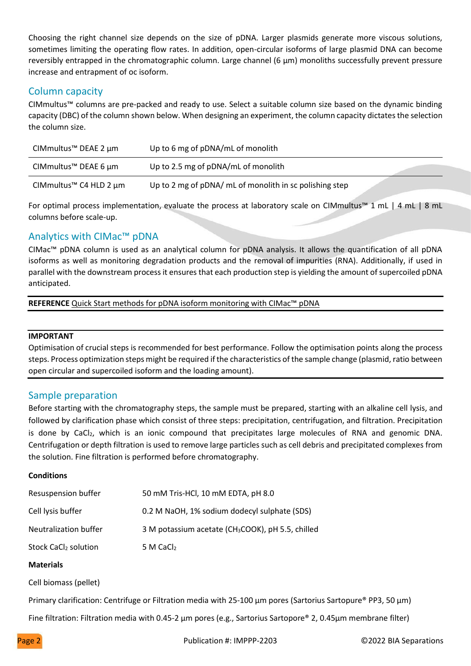Choosing the right channel size depends on the size of pDNA. Larger plasmids generate more viscous solutions, sometimes limiting the operating flow rates. In addition, open-circular isoforms of large plasmid DNA can become reversibly entrapped in the chromatographic column. Large channel (6 μm) monoliths successfully prevent pressure increase and entrapment of oc isoform.

## Column capacity

CIMmultus™ columns are pre-packed and ready to use. Select a suitable column size based on the dynamic binding capacity (DBC) of the column shown below. When designing an experiment, the column capacity dictates the selection the column size.

| CIMmultus™ DEAE 2 $\mu$ m   | Up to 6 mg of pDNA/mL of monolith                       |  |
|-----------------------------|---------------------------------------------------------|--|
| CIMmultus™ DEAE 6 $\mu$ m   | Up to 2.5 mg of pDNA/mL of monolith                     |  |
| CIMmultus™ C4 HLD 2 $\mu$ m | Up to 2 mg of pDNA/ mL of monolith in sc polishing step |  |

For optimal process implementation, evaluate the process at laboratory scale on CIMmultus™ 1 mL | 4 mL | 8 mL columns before scale-up.

## Analytics with CIMac™ pDNA

CIMac™ pDNA column is used as an analytical column for pDNA analysis. It allows the quantification of all pDNA isoforms as well as monitoring degradation products and the removal of impurities (RNA). Additionally, if used in parallel with the downstream process it ensures that each production step is yielding the amount of supercoiled pDNA anticipated.

**REFERENCE** Quick Start methods for pDNA isoform monitoring with CIMac<sup>™</sup> pDNA

#### **IMPORTANT**

Optimisation of crucial steps is recommended for best performance. Follow the optimisation points along the process steps. Process optimization steps might be required if the characteristics of the sample change (plasmid, ratio between open circular and supercoiled isoform and the loading amount).

## Sample preparation

Before starting with the chromatography steps, the sample must be prepared, starting with an alkaline cell lysis, and followed by clarification phase which consist of three steps: precipitation, centrifugation, and filtration. Precipitation is done by CaCl<sub>2</sub>, which is an ionic compound that precipitates large molecules of RNA and genomic DNA. Centrifugation or depth filtration is used to remove large particles such as cell debris and precipitated complexes from the solution. Fine filtration is performed before chromatography.

#### **Conditions**

| <b>Resuspension buffer</b>       | 50 mM Tris-HCl, 10 mM EDTA, pH 8.0                            |
|----------------------------------|---------------------------------------------------------------|
| Cell lysis buffer                | 0.2 M NaOH, 1% sodium dodecyl sulphate (SDS)                  |
| Neutralization buffer            | 3 M potassium acetate (CH <sub>3</sub> COOK), pH 5.5, chilled |
| Stock CaCl <sub>2</sub> solution | 5 M CaCl <sub>2</sub>                                         |

#### **Materials**

Cell biomass (pellet)

Primary clarification: Centrifuge or Filtration media with 25-100 μm pores (Sartorius Sartopure® PP3, 50 μm)

Fine filtration: Filtration media with 0.45-2 μm pores (e.g., Sartorius Sartopore® 2, 0.45μm membrane filter)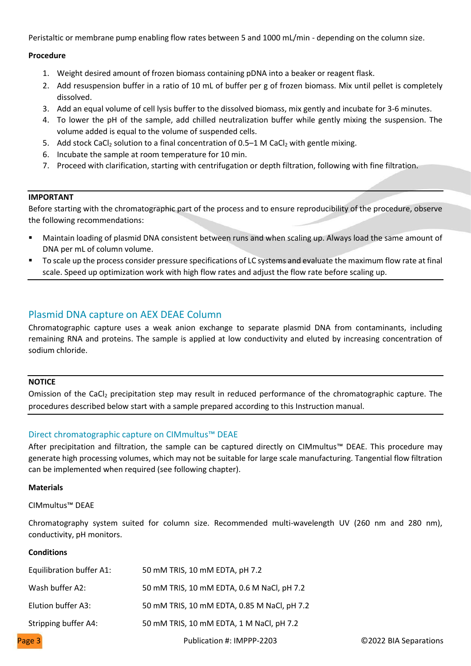Peristaltic or membrane pump enabling flow rates between 5 and 1000 mL/min - depending on the column size.

#### **Procedure**

- 1. Weight desired amount of frozen biomass containing pDNA into a beaker or reagent flask.
- 2. Add resuspension buffer in a ratio of 10 mL of buffer per g of frozen biomass. Mix until pellet is completely dissolved.
- 3. Add an equal volume of cell lysis buffer to the dissolved biomass, mix gently and incubate for 3-6 minutes.
- 4. To lower the pH of the sample, add chilled neutralization buffer while gently mixing the suspension. The volume added is equal to the volume of suspended cells.
- 5. Add stock CaCl<sub>2</sub> solution to a final concentration of 0.5–1 M CaCl<sub>2</sub> with gentle mixing.
- 6. Incubate the sample at room temperature for 10 min.
- 2. Proceed with clarification, starting with centrifugation or depth filtration, following with fine filtration.

#### **IMPORTANT**

Before starting with the chromatographic part of the process and to ensure reproducibility of the procedure, observe the following recommendations:

- Maintain loading of plasmid DNA consistent between runs and when scaling up. Always load the same amount of DNA per mL of column volume.
- To scale up the process consider pressure specifications of LC systems and evaluate the maximum flow rate at final scale. Speed up optimization work with high flow rates and adjust the flow rate before scaling up.

## Plasmid DNA capture on AEX DEAE Column

Chromatographic capture uses a weak anion exchange to separate plasmid DNA from contaminants, including remaining RNA and proteins. The sample is applied at low conductivity and eluted by increasing concentration of sodium chloride.

#### **NOTICE**

Omission of the CaCl<sub>2</sub> precipitation step may result in reduced performance of the chromatographic capture. The procedures described below start with a sample prepared according to this Instruction manual.

#### Direct chromatographic capture on CIMmultus™ DEAE

After precipitation and filtration, the sample can be captured directly on CIMmultus™ DEAE. This procedure may generate high processing volumes, which may not be suitable for large scale manufacturing. Tangential flow filtration can be implemented when required (see following chapter).

#### **Materials**

CIMmultus™ DEAE

Chromatography system suited for column size. Recommended multi-wavelength UV (260 nm and 280 nm), conductivity, pH monitors.

#### **Conditions**

| Equilibration buffer A1: | 50 mM TRIS, 10 mM EDTA, pH 7.2              |
|--------------------------|---------------------------------------------|
| Wash buffer A2:          | 50 mM TRIS, 10 mM EDTA, 0.6 M NaCl, pH 7.2  |
| Elution buffer A3:       | 50 mM TRIS, 10 mM EDTA, 0.85 M NaCl, pH 7.2 |
| Stripping buffer A4:     | 50 mM TRIS, 10 mM EDTA, 1 M NaCl, pH 7.2    |
|                          |                                             |

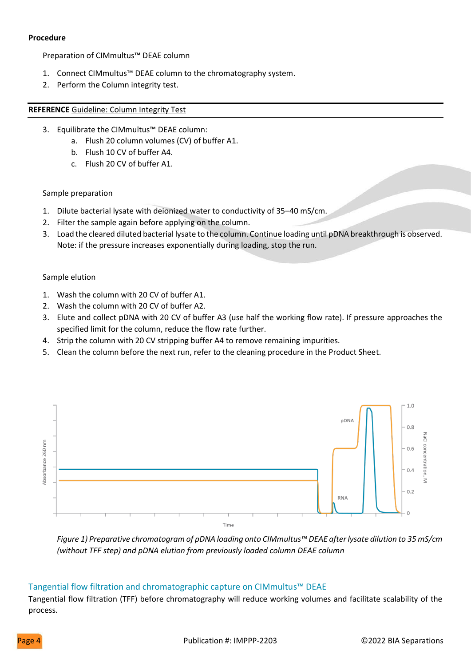#### **Procedure**

Preparation of CIMmultus™ DEAE column

- 1. Connect CIMmultus™ DEAE column to the chromatography system.
- 2. Perform the Column integrity test.

#### **REFERENCE** [Guideline: Column Integrity Test](https://www.biaseparations.com/en/library/guidelines/1149/column-integrity-test-for-cimr-monoliths)

- 3. Equilibrate the CIMmultus™ DEAE column:
	- a. Flush 20 column volumes (CV) of buffer A1.
	- b. Flush 10 CV of buffer A4.
- c. Flush 20 CV of buffer A1.

#### Sample preparation

- 1. Dilute bacterial lysate with deionized water to conductivity of 35–40 mS/cm.
- 2. Filter the sample again before applying on the column.
- 3. Load the cleared diluted bacterial lysate to the column. Continue loading until pDNA breakthrough is observed. Note: if the pressure increases exponentially during loading, stop the run.

#### Sample elution

- 1. Wash the column with 20 CV of buffer A1.
- 2. Wash the column with 20 CV of buffer A2.
- 3. Elute and collect pDNA with 20 CV of buffer A3 (use half the working flow rate). If pressure approaches the specified limit for the column, reduce the flow rate further.
- 4. Strip the column with 20 CV stripping buffer A4 to remove remaining impurities.
- 5. Clean the column before the next run, refer to the cleaning procedure in the Product Sheet.



*Figure 1) Preparative chromatogram of pDNA loading onto CIMmultus™ DEAE after lysate dilution to 35 mS/cm (without TFF step) and pDNA elution from previously loaded column DEAE column*

#### Tangential flow filtration and chromatographic capture on CIMmultus™ DEAE

Tangential flow filtration (TFF) before chromatography will reduce working volumes and facilitate scalability of the process.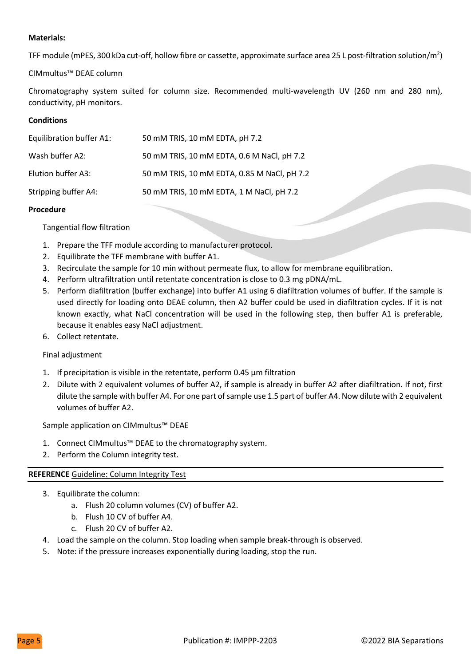#### **Materials:**

TFF module (mPES, 300 kDa cut-off, hollow fibre or cassette, approximate surface area 25 L post-filtration solution/m<sup>2</sup>)

CIMmultus™ DEAE column

Chromatography system suited for column size. Recommended multi-wavelength UV (260 nm and 280 nm), conductivity, pH monitors.

#### **Conditions**

| Equilibration buffer A1: | 50 mM TRIS, 10 mM EDTA, pH 7.2              |
|--------------------------|---------------------------------------------|
| Wash buffer A2:          | 50 mM TRIS, 10 mM EDTA, 0.6 M NaCl, pH 7.2  |
| Elution buffer A3:       | 50 mM TRIS, 10 mM EDTA, 0.85 M NaCl, pH 7.2 |
| Stripping buffer A4:     | 50 mM TRIS, 10 mM EDTA, 1 M NaCl, pH 7.2    |

#### **Procedure**

Tangential flow filtration

- 1. Prepare the TFF module according to manufacturer protocol.
- 2. Equilibrate the TFF membrane with buffer A1.
- 3. Recirculate the sample for 10 min without permeate flux, to allow for membrane equilibration.
- 4. Perform ultrafiltration until retentate concentration is close to 0.3 mg pDNA/mL.
- 5. Perform diafiltration (buffer exchange) into buffer A1 using 6 diafiltration volumes of buffer. If the sample is used directly for loading onto DEAE column, then A2 buffer could be used in diafiltration cycles. If it is not known exactly, what NaCl concentration will be used in the following step, then buffer A1 is preferable, because it enables easy NaCl adjustment.

6. Collect retentate.

#### Final adjustment

- 1. If precipitation is visible in the retentate, perform 0.45 μm filtration
- 2. Dilute with 2 equivalent volumes of buffer A2, if sample is already in buffer A2 after diafiltration. If not, first dilute the sample with buffer A4. For one part of sample use 1.5 part of buffer A4. Now dilute with 2 equivalent volumes of buffer A2.

Sample application on CIMmultus™ DEAE

- 1. Connect CIMmultus™ DEAE to the chromatography system.
- 2. Perform the Column integrity test.

## **REFERENCE** [Guideline: Column Integrity Test](https://www.biaseparations.com/en/library/guidelines/1149/column-integrity-test-for-cimr-monoliths)

- 3. Equilibrate the column:
	- a. Flush 20 column volumes (CV) of buffer A2.
	- b. Flush 10 CV of buffer A4.
	- c. Flush 20 CV of buffer A2.
- 4. Load the sample on the column. Stop loading when sample break-through is observed.
- 5. Note: if the pressure increases exponentially during loading, stop the run.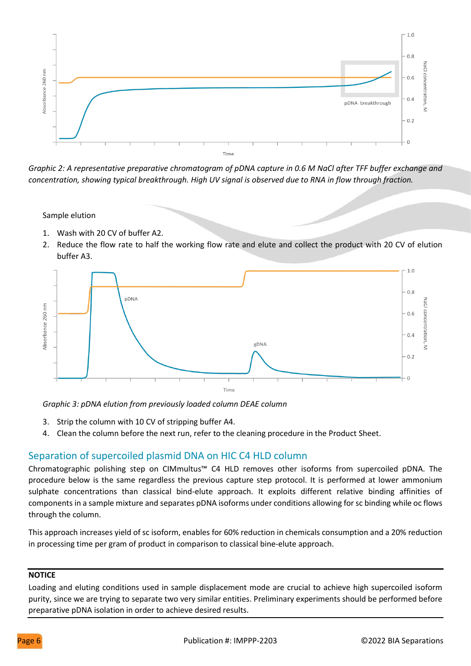

**CIMmultus™ HiP<sup>2</sup>** *Graphic 2: A representative preparative chromatogram of pDNA capture in 0.6 M NaCl a* **Plasmid Process Pack™** *fter TFF buffer exchange and concentration, showing typical breakthrough. High UV signal is observed due to RNA in flow through fraction.* 

Sample elution

- 1. Wash with 20 CV of buffer A2.
- 2. Reduce the flow rate to half the working flow rate and elute and collect the product with 20 CV of elution buffer A3.



*Graphic 3: pDNA elution from previously loaded column DEAE column*

- 3. Strip the column with 10 CV of stripping buffer A4.
- 4. Clean the column before the next run, refer to the cleaning procedure in the Product Sheet.

## Separation of supercoiled plasmid DNA on HIC C4 HLD column

Chromatographic polishing step on CIMmultus™ C4 HLD removes other isoforms from supercoiled pDNA. The procedure below is the same regardless the previous capture step protocol. It is performed at lower ammonium sulphate concentrations than classical bind-elute approach. It exploits different relative binding affinities of components in a sample mixture and separates pDNA isoforms under conditions allowing for sc binding while oc flows through the column.

This approach increases yield of sc isoform, enables for 60% reduction in chemicals consumption and a 20% reduction in processing time per gram of product in comparison to classical bine-elute approach.

#### **NOTICE**

Loading and eluting conditions used in sample displacement mode are crucial to achieve high supercoiled isoform purity, since we are trying to separate two very similar entities. Preliminary experiments should be performed before preparative pDNA isolation in order to achieve desired results.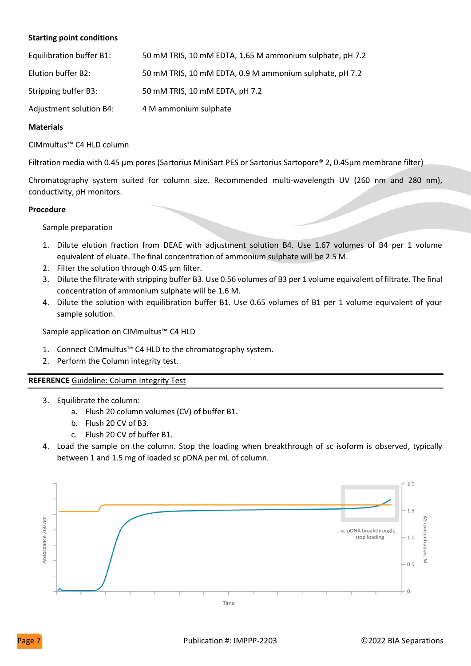#### **Starting point conditions**

| Equilibration buffer B1: | 50 mM TRIS, 10 mM EDTA, 1.65 M ammonium sulphate, pH 7.2 |
|--------------------------|----------------------------------------------------------|
| Elution buffer B2:       | 50 mM TRIS, 10 mM EDTA, 0.9 M ammonium sulphate, pH 7.2  |
| Stripping buffer B3:     | 50 mM TRIS, 10 mM EDTA, pH 7.2                           |
| Adjustment solution B4:  | 4 M ammonium sulphate                                    |

#### **Materials**

CIMmultus™ C4 HLD column

**Filtration media with 0.45 μm pores (Sartorius MiniSart PES or Sartorius Sartopore® 2, 0.45μm membrane filter)** 

Chromatography system suited for column size. Recommended multi-wavelength UV (260 nm and 280 nm), conductivity, pH monitors.

#### **Procedure**

Sample preparation

- 1. Dilute elution fraction from DEAE with adjustment solution B4. Use 1.67 volumes of B4 per 1 volume equivalent of eluate. The final concentration of ammonium sulphate will be 2.5 M.
- 2. Filter the solution through 0.45 μm filter.
- 3. Dilute the filtrate with stripping buffer B3. Use 0.56 volumes of B3 per 1 volume equivalent of filtrate. The final concentration of ammonium sulphate will be 1.6 M.
- 4. Dilute the solution with equilibration buffer B1. Use 0.65 volumes of B1 per 1 volume equivalent of your sample solution.

Sample application on CIMmultus™ C4 HLD

- 1. Connect CIMmultus™ C4 HLD to the chromatography system.
- 2. Perform the Column integrity test.

#### **REFERENCE** [Guideline: Column Integrity Test](https://www.biaseparations.com/en/library/guidelines/1149/column-integrity-test-for-cimr-monoliths)

- 3. Equilibrate the column:
	- a. Flush 20 column volumes (CV) of buffer B1.
	- b. Flush 20 CV of B3.
	- c. Flush 20 CV of buffer B1.
- 4. Load the sample on the column. Stop the loading when breakthrough of sc isoform is observed, typically between 1 and 1.5 mg of loaded sc pDNA per mL of column.

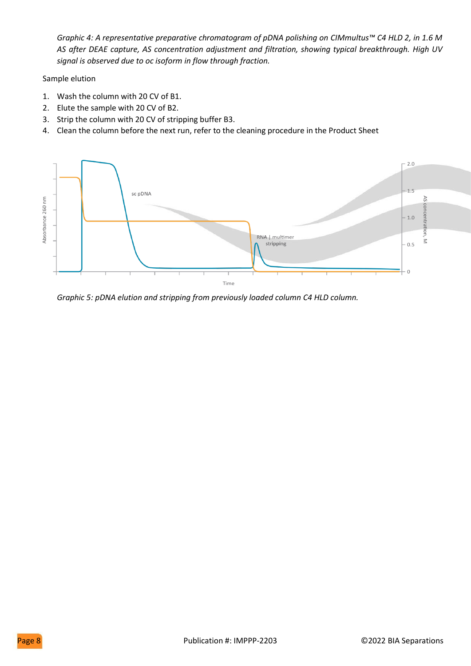*Graphic 4: A representative preparative chromatogram of pDNA polishing on CIMmultus™ C4 HLD 2, in 1.6 M AS after DEAE capture, AS concentration adjustment and filtration, showing typical breakthrough. High UV signal is observed due to oc isoform in flow through fraction.* 

Sample elution

- 1. Wash the column with 20 CV of B1.
- 2. Elute the sample with 20 CV of B2.
- 3. Strip the column with 20 CV of stripping buffer B3.
- 4. Clean the column before the next run, refer to the cleaning procedure in the Product Sheet



*Graphic 5: pDNA elution and stripping from previously loaded column C4 HLD column.*